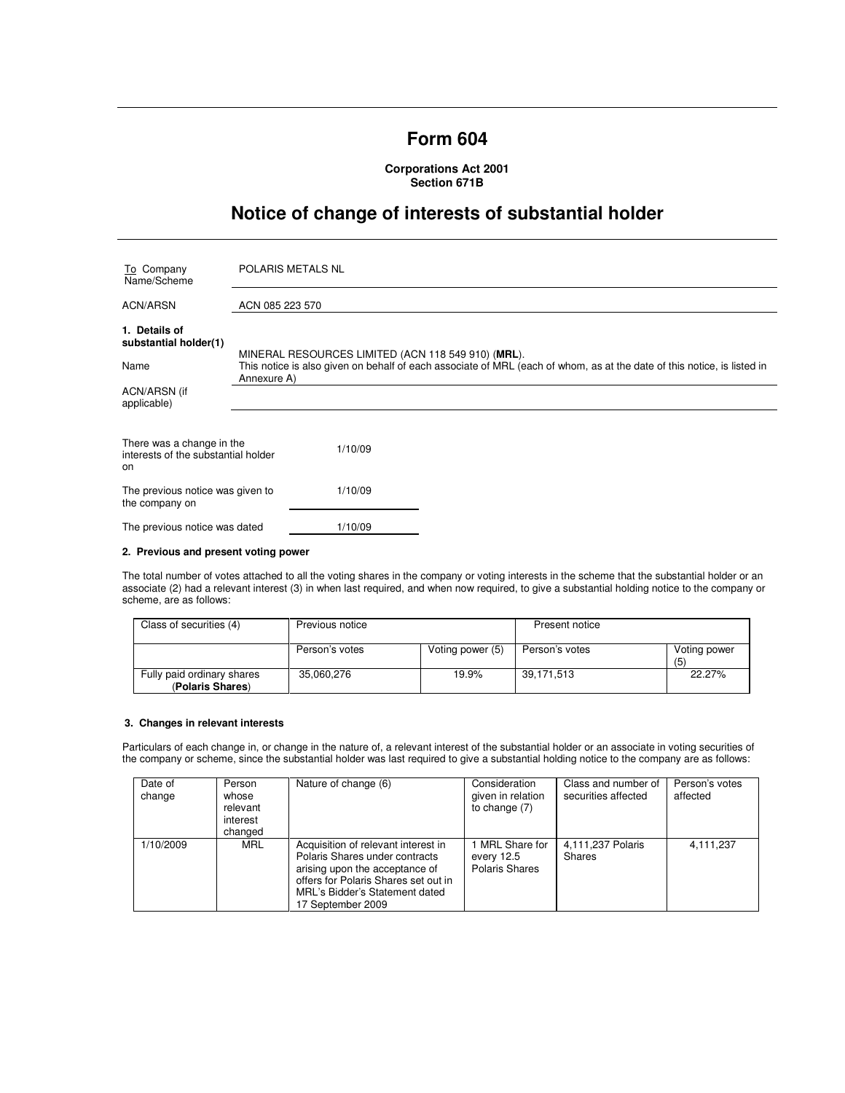# **Form 604**

**Corporations Act 2001 Section 671B** 

# **Notice of change of interests of substantial holder**

| To Company<br>Name/Scheme                                              | <b>POLARIS METALS NL</b>                                                                                                                                                                     |
|------------------------------------------------------------------------|----------------------------------------------------------------------------------------------------------------------------------------------------------------------------------------------|
| <b>ACN/ARSN</b>                                                        | ACN 085 223 570                                                                                                                                                                              |
| 1. Details of<br>substantial holder(1)<br>Name                         | MINERAL RESOURCES LIMITED (ACN 118 549 910) (MRL).<br>This notice is also given on behalf of each associate of MRL (each of whom, as at the date of this notice, is listed in<br>Annexure A) |
| ACN/ARSN (if<br>applicable)                                            |                                                                                                                                                                                              |
| There was a change in the<br>interests of the substantial holder<br>on | 1/10/09                                                                                                                                                                                      |
| The previous notice was given to<br>the company on                     | 1/10/09                                                                                                                                                                                      |
| The previous notice was dated                                          | 1/10/09                                                                                                                                                                                      |

## **2. Previous and present voting power**

The total number of votes attached to all the voting shares in the company or voting interests in the scheme that the substantial holder or an associate (2) had a relevant interest (3) in when last required, and when now required, to give a substantial holding notice to the company or scheme, are as follows:

| Class of securities (4)                        | Previous notice |                  | Present notice |                    |
|------------------------------------------------|-----------------|------------------|----------------|--------------------|
|                                                | Person's votes  | Voting power (5) | Person's votes | Voting power<br>(5 |
| Fully paid ordinary shares<br>(Polaris Shares) | 35,060,276      | 19.9%            | 39,171,513     | 22.27%             |

## **3. Changes in relevant interests**

Particulars of each change in, or change in the nature of, a relevant interest of the substantial holder or an associate in voting securities of the company or scheme, since the substantial holder was last required to give a substantial holding notice to the company are as follows:

| Date of<br>change | Person<br>whose<br>relevant<br>interest<br>changed | Nature of change (6)                                                                                                                                                                                   | Consideration<br>given in relation<br>to change $(7)$ | Class and number of<br>securities affected | Person's votes<br>affected |
|-------------------|----------------------------------------------------|--------------------------------------------------------------------------------------------------------------------------------------------------------------------------------------------------------|-------------------------------------------------------|--------------------------------------------|----------------------------|
| 1/10/2009         | <b>MRL</b>                                         | Acquisition of relevant interest in<br>Polaris Shares under contracts<br>arising upon the acceptance of<br>offers for Polaris Shares set out in<br>MRL's Bidder's Statement dated<br>17 September 2009 | I MRL Share for<br>every 12.5<br>Polaris Shares       | 4,111,237 Polaris<br><b>Shares</b>         | 4,111,237                  |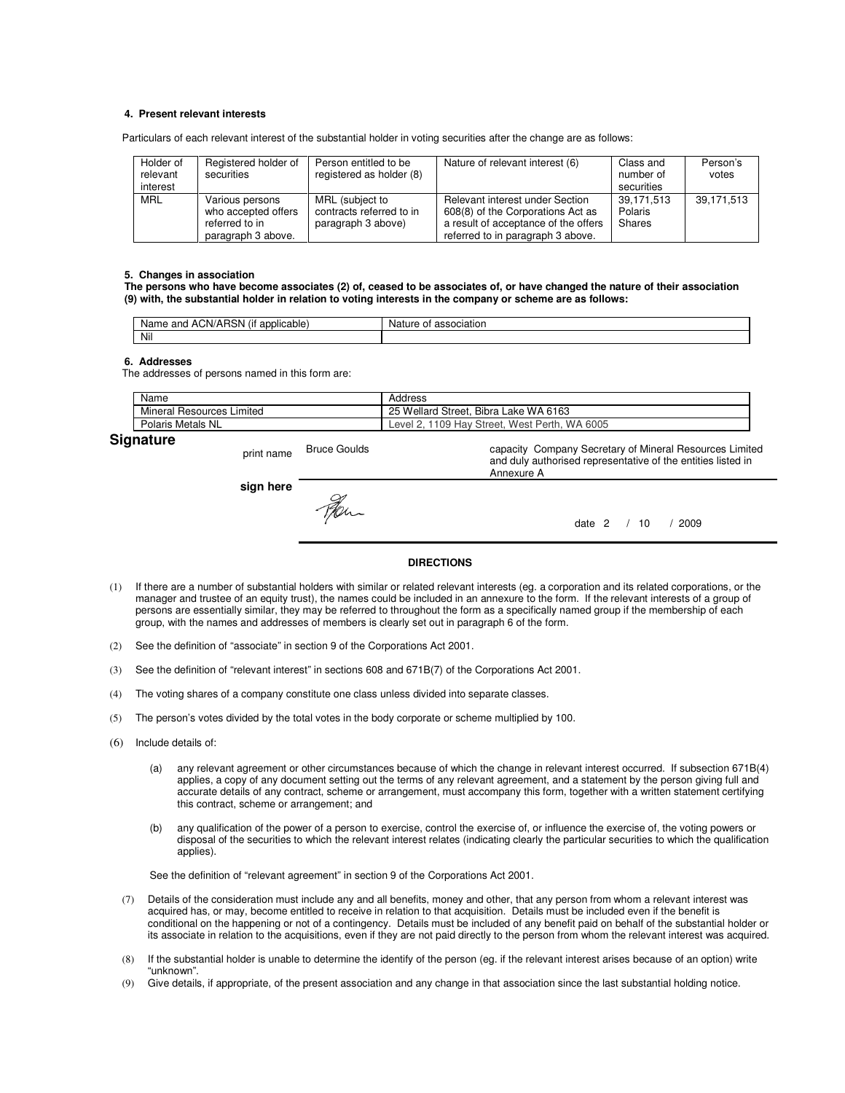#### **4. Present relevant interests**

Particulars of each relevant interest of the substantial holder in voting securities after the change are as follows:

| Holder of<br>relevant<br>interest | Registered holder of<br>securities                                             | Person entitled to be<br>registered as holder (8)                 | Nature of relevant interest (6)                                                                                                                   | Class and<br>number of<br>securities | Person's<br>votes |
|-----------------------------------|--------------------------------------------------------------------------------|-------------------------------------------------------------------|---------------------------------------------------------------------------------------------------------------------------------------------------|--------------------------------------|-------------------|
| <b>MRL</b>                        | Various persons<br>who accepted offers<br>referred to in<br>paragraph 3 above. | MRL (subject to<br>contracts referred to in<br>paragraph 3 above) | Relevant interest under Section<br>608(8) of the Corporations Act as<br>a result of acceptance of the offers<br>referred to in paragraph 3 above. | 39,171,513<br>Polaris<br>Shares      | 39,171,513        |

#### **5. Changes in association**

**The persons who have become associates (2) of, ceased to be associates of, or have changed the nature of their association (9) with, the substantial holder in relation to voting interests in the company or scheme are as follows:** 

| $\cdots$<br>$\sim$<br><br>∍.<br>:N//<br>/۸<br>…olicar<br>$  -$<br>and<br>Nar<br>$\cdots$<br>able<br>אוכד<br>⊶ו<br>dl<br>$H_{1}$ | Nai.<br>. IFF<br>илани |
|---------------------------------------------------------------------------------------------------------------------------------|------------------------|
| Nil                                                                                                                             |                        |

#### **6. Addresses**

The addresses of persons named in this form are:

| <b>Signature</b>          | $\overline{\phantom{0}}$ | $\sim$ $\sim$ |                                               |
|---------------------------|--------------------------|---------------|-----------------------------------------------|
| Polaris Metals NL         |                          |               | Level 2, 1109 Hay Street, West Perth, WA 6005 |
| Mineral Resources Limited |                          |               | 25 Wellard Street, Bibra Lake WA 6163         |
| Name                      |                          |               | Address                                       |

## print name Bruce Goulds

**sign here**

capacity Company Secretary of Mineral Resources Limited and duly authorised representative of the entities listed in Annexure A

date 2 / 10 / 2009

### **DIRECTIONS**

- (1) If there are a number of substantial holders with similar or related relevant interests (eg. a corporation and its related corporations, or the manager and trustee of an equity trust), the names could be included in an annexure to the form. If the relevant interests of a group of persons are essentially similar, they may be referred to throughout the form as a specifically named group if the membership of each group, with the names and addresses of members is clearly set out in paragraph 6 of the form.
- (2) See the definition of "associate" in section 9 of the Corporations Act 2001.
- (3) See the definition of "relevant interest" in sections 608 and 671B(7) of the Corporations Act 2001.
- (4) The voting shares of a company constitute one class unless divided into separate classes.
- (5) The person's votes divided by the total votes in the body corporate or scheme multiplied by 100.
- (6) Include details of:
	- (a) any relevant agreement or other circumstances because of which the change in relevant interest occurred. If subsection 671B(4) applies, a copy of any document setting out the terms of any relevant agreement, and a statement by the person giving full and accurate details of any contract, scheme or arrangement, must accompany this form, together with a written statement certifying this contract, scheme or arrangement; and
	- (b) any qualification of the power of a person to exercise, control the exercise of, or influence the exercise of, the voting powers or disposal of the securities to which the relevant interest relates (indicating clearly the particular securities to which the qualification applies).

See the definition of "relevant agreement" in section 9 of the Corporations Act 2001.

- (7) Details of the consideration must include any and all benefits, money and other, that any person from whom a relevant interest was acquired has, or may, become entitled to receive in relation to that acquisition. Details must be included even if the benefit is conditional on the happening or not of a contingency. Details must be included of any benefit paid on behalf of the substantial holder or its associate in relation to the acquisitions, even if they are not paid directly to the person from whom the relevant interest was acquired.
- (8) If the substantial holder is unable to determine the identify of the person (eg. if the relevant interest arises because of an option) write "unknown".
- (9) Give details, if appropriate, of the present association and any change in that association since the last substantial holding notice.